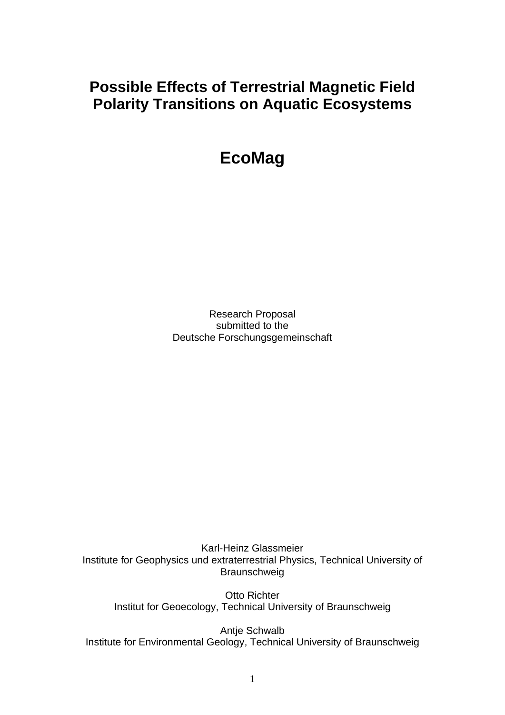# **Possible Effects of Terrestrial Magnetic Field Polarity Transitions on Aquatic Ecosystems**

**EcoMag** 

Research Proposal submitted to the Deutsche Forschungsgemeinschaft

Karl-Heinz Glassmeier Institute for Geophysics und extraterrestrial Physics, Technical University of Braunschweig

Otto Richter Institut for Geoecology, Technical University of Braunschweig

Antje Schwalb Institute for Environmental Geology, Technical University of Braunschweig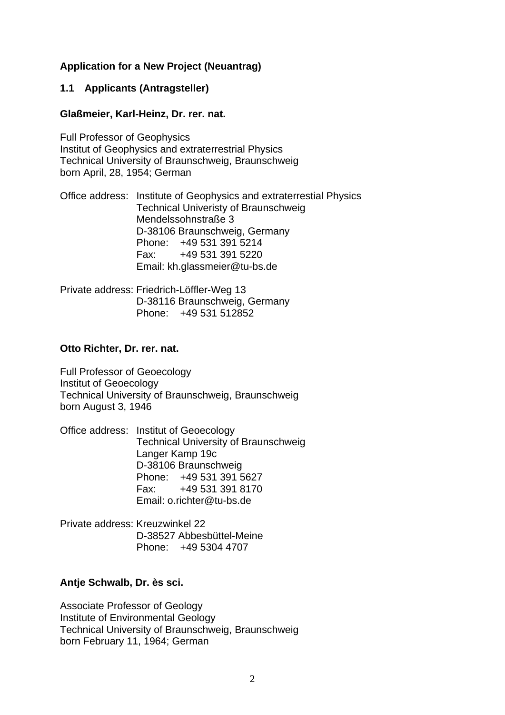### **Application for a New Project (Neuantrag)**

#### **1.1 Applicants (Antragsteller)**

#### **Glaßmeier, Karl-Heinz, Dr. rer. nat.**

Full Professor of Geophysics Institut of Geophysics and extraterrestrial Physics Technical University of Braunschweig, Braunschweig born April, 28, 1954; German

Office address: Institute of Geophysics and extraterrestial Physics Technical Univeristy of Braunschweig Mendelssohnstraße 3 D-38106 Braunschweig, Germany Phone: +49 531 391 5214 Fax: +49 531 391 5220 Email: kh.glassmeier@tu-bs.de

Private address: Friedrich-Löffler-Weg 13 D-38116 Braunschweig, Germany Phone: +49 531 512852

#### **Otto Richter, Dr. rer. nat.**

Full Professor of Geoecology Institut of Geoecology Technical University of Braunschweig, Braunschweig born August 3, 1946

Office address: Institut of Geoecology Technical University of Braunschweig Langer Kamp 19c D-38106 Braunschweig Phone: +49 531 391 5627 Fax: +49 531 391 8170 Email: o.richter@tu-bs.de

Private address: Kreuzwinkel 22 D-38527 Abbesbüttel-Meine Phone: +49 5304 4707

### **Antje Schwalb, Dr. ès sci.**

Associate Professor of Geology Institute of Environmental Geology Technical University of Braunschweig, Braunschweig born February 11, 1964; German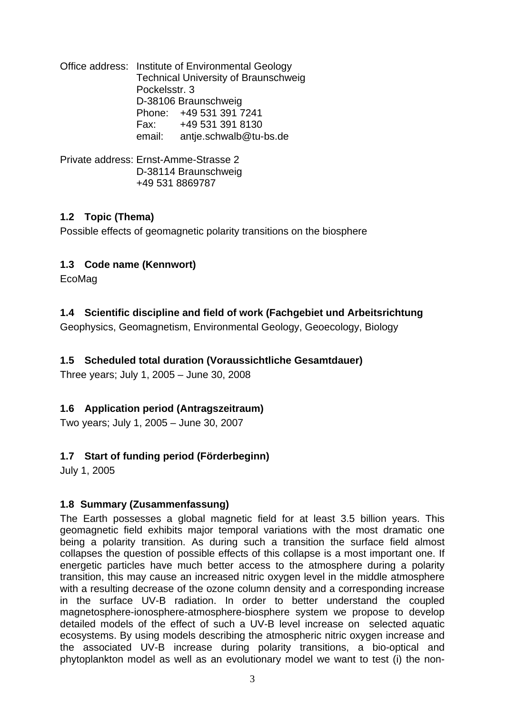Office address: Institute of Environmental Geology Technical University of Braunschweig Pockelsstr. 3 D-38106 Braunschweig Phone: +49 531 391 7241 Fax: +49 531 391 8130 email: antje.schwalb@tu-bs.de

Private address: Ernst-Amme-Strasse 2 D-38114 Braunschweig +49 531 8869787

## **1.2 Topic (Thema)**

Possible effects of geomagnetic polarity transitions on the biosphere

## **1.3 Code name (Kennwort)**

EcoMag

## **1.4 Scientific discipline and field of work (Fachgebiet und Arbeitsrichtung**

Geophysics, Geomagnetism, Environmental Geology, Geoecology, Biology

## **1.5 Scheduled total duration (Voraussichtliche Gesamtdauer)**

Three years; July 1, 2005 – June 30, 2008

## **1.6 Application period (Antragszeitraum)**

Two years; July 1, 2005 – June 30, 2007

## **1.7 Start of funding period (Förderbeginn)**

July 1, 2005

## **1.8 Summary (Zusammenfassung)**

The Earth possesses a global magnetic field for at least 3.5 billion years. This geomagnetic field exhibits major temporal variations with the most dramatic one being a polarity transition. As during such a transition the surface field almost collapses the question of possible effects of this collapse is a most important one. If energetic particles have much better access to the atmosphere during a polarity transition, this may cause an increased nitric oxygen level in the middle atmosphere with a resulting decrease of the ozone column density and a corresponding increase in the surface UV-B radiation. In order to better understand the coupled magnetosphere-ionosphere-atmosphere-biosphere system we propose to develop detailed models of the effect of such a UV-B level increase on selected aquatic ecosystems. By using models describing the atmospheric nitric oxygen increase and the associated UV-B increase during polarity transitions, a bio-optical and phytoplankton model as well as an evolutionary model we want to test (i) the non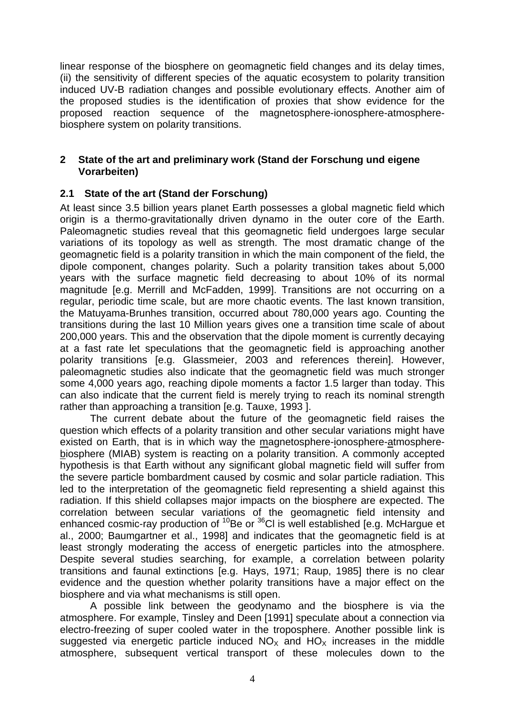linear response of the biosphere on geomagnetic field changes and its delay times, (ii) the sensitivity of different species of the aquatic ecosystem to polarity transition induced UV-B radiation changes and possible evolutionary effects. Another aim of the proposed studies is the identification of proxies that show evidence for the proposed reaction sequence of the magnetosphere-ionosphere-atmospherebiosphere system on polarity transitions.

#### **2 State of the art and preliminary work (Stand der Forschung und eigene Vorarbeiten)**

#### **2.1 State of the art (Stand der Forschung)**

At least since 3.5 billion years planet Earth possesses a global magnetic field which origin is a thermo-gravitationally driven dynamo in the outer core of the Earth. Paleomagnetic studies reveal that this geomagnetic field undergoes large secular variations of its topology as well as strength. The most dramatic change of the geomagnetic field is a polarity transition in which the main component of the field, the dipole component, changes polarity. Such a polarity transition takes about 5,000 years with the surface magnetic field decreasing to about 10% of its normal magnitude [e.g. Merrill and McFadden, 1999]. Transitions are not occurring on a regular, periodic time scale, but are more chaotic events. The last known transition, the Matuyama-Brunhes transition, occurred about 780,000 years ago. Counting the transitions during the last 10 Million years gives one a transition time scale of about 200,000 years. This and the observation that the dipole moment is currently decaying at a fast rate let speculations that the geomagnetic field is approaching another polarity transitions [e.g. Glassmeier, 2003 and references therein]. However, paleomagnetic studies also indicate that the geomagnetic field was much stronger some 4,000 years ago, reaching dipole moments a factor 1.5 larger than today. This can also indicate that the current field is merely trying to reach its nominal strength rather than approaching a transition [e.g. Tauxe, 1993 ].

The current debate about the future of the geomagnetic field raises the question which effects of a polarity transition and other secular variations might have existed on Earth, that is in which way the magnetosphere-ionosphere-atmospherebiosphere (MIAB) system is reacting on a polarity transition. A commonly accepted hypothesis is that Earth without any significant global magnetic field will suffer from the severe particle bombardment caused by cosmic and solar particle radiation. This led to the interpretation of the geomagnetic field representing a shield against this radiation. If this shield collapses major impacts on the biosphere are expected. The correlation between secular variations of the geomagnetic field intensity and enhanced cosmic-ray production of  $10B$ e or  $36C$ l is well established [e.g. McHargue et al., 2000; Baumgartner et al., 1998] and indicates that the geomagnetic field is at least strongly moderating the access of energetic particles into the atmosphere. Despite several studies searching, for example, a correlation between polarity transitions and faunal extinctions [e.g. Hays, 1971; Raup, 1985] there is no clear evidence and the question whether polarity transitions have a major effect on the biosphere and via what mechanisms is still open.

A possible link between the geodynamo and the biosphere is via the atmosphere. For example, Tinsley and Deen [1991] speculate about a connection via electro-freezing of super cooled water in the troposphere. Another possible link is suggested via energetic particle induced  $NO<sub>x</sub>$  and  $HO<sub>x</sub>$  increases in the middle atmosphere, subsequent vertical transport of these molecules down to the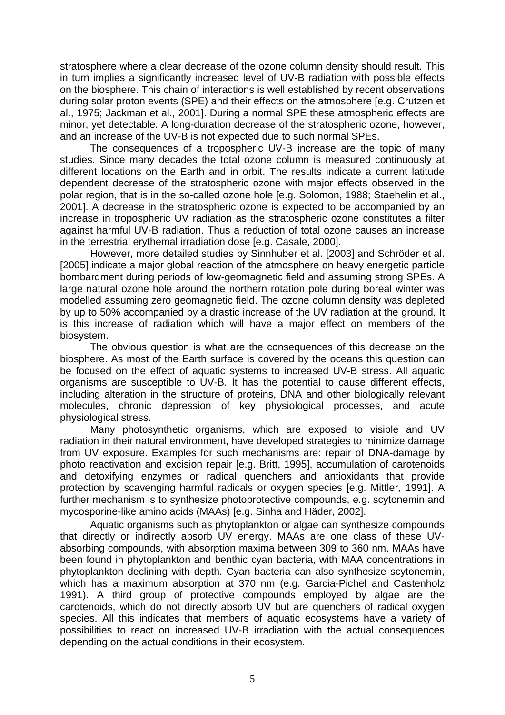stratosphere where a clear decrease of the ozone column density should result. This in turn implies a significantly increased level of UV-B radiation with possible effects on the biosphere. This chain of interactions is well established by recent observations during solar proton events (SPE) and their effects on the atmosphere [e.g. Crutzen et al., 1975; Jackman et al., 2001]. During a normal SPE these atmospheric effects are minor, yet detectable. A long-duration decrease of the stratospheric ozone, however, and an increase of the UV-B is not expected due to such normal SPEs.

The consequences of a tropospheric UV-B increase are the topic of many studies. Since many decades the total ozone column is measured continuously at different locations on the Earth and in orbit. The results indicate a current latitude dependent decrease of the stratospheric ozone with major effects observed in the polar region, that is in the so-called ozone hole [e.g. Solomon, 1988; Staehelin et al., 2001]. A decrease in the stratospheric ozone is expected to be accompanied by an increase in tropospheric UV radiation as the stratospheric ozone constitutes a filter against harmful UV-B radiation. Thus a reduction of total ozone causes an increase in the terrestrial erythemal irradiation dose [e.g. Casale, 2000].

However, more detailed studies by Sinnhuber et al. [2003] and Schröder et al. [2005] indicate a major global reaction of the atmosphere on heavy energetic particle bombardment during periods of low-geomagnetic field and assuming strong SPEs. A large natural ozone hole around the northern rotation pole during boreal winter was modelled assuming zero geomagnetic field. The ozone column density was depleted by up to 50% accompanied by a drastic increase of the UV radiation at the ground. It is this increase of radiation which will have a major effect on members of the biosystem.

The obvious question is what are the consequences of this decrease on the biosphere. As most of the Earth surface is covered by the oceans this question can be focused on the effect of aquatic systems to increased UV-B stress. All aquatic organisms are susceptible to UV-B. It has the potential to cause different effects, including alteration in the structure of proteins, DNA and other biologically relevant molecules, chronic depression of key physiological processes, and acute physiological stress.

Many photosynthetic organisms, which are exposed to visible and UV radiation in their natural environment, have developed strategies to minimize damage from UV exposure. Examples for such mechanisms are: repair of DNA-damage by photo reactivation and excision repair [e.g. Britt, 1995], accumulation of carotenoids and detoxifying enzymes or radical quenchers and antioxidants that provide protection by scavenging harmful radicals or oxygen species [e.g. Mittler, 1991]. A further mechanism is to synthesize photoprotective compounds, e.g. scytonemin and mycosporine-like amino acids (MAAs) [e.g. Sinha and Häder, 2002].

Aquatic organisms such as phytoplankton or algae can synthesize compounds that directly or indirectly absorb UV energy. MAAs are one class of these UVabsorbing compounds, with absorption maxima between 309 to 360 nm. MAAs have been found in phytoplankton and benthic cyan bacteria, with MAA concentrations in phytoplankton declining with depth. Cyan bacteria can also synthesize scytonemin, which has a maximum absorption at 370 nm (e.g. Garcia-Pichel and Castenholz 1991). A third group of protective compounds employed by algae are the carotenoids, which do not directly absorb UV but are quenchers of radical oxygen species. All this indicates that members of aquatic ecosystems have a variety of possibilities to react on increased UV-B irradiation with the actual consequences depending on the actual conditions in their ecosystem.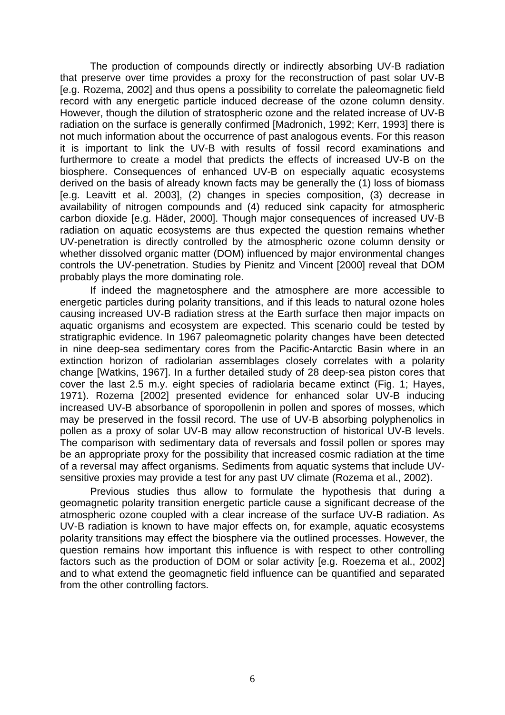The production of compounds directly or indirectly absorbing UV-B radiation that preserve over time provides a proxy for the reconstruction of past solar UV-B [e.g. Rozema, 2002] and thus opens a possibility to correlate the paleomagnetic field record with any energetic particle induced decrease of the ozone column density. However, though the dilution of stratospheric ozone and the related increase of UV-B radiation on the surface is generally confirmed [Madronich, 1992; Kerr, 1993] there is not much information about the occurrence of past analogous events. For this reason it is important to link the UV-B with results of fossil record examinations and furthermore to create a model that predicts the effects of increased UV-B on the biosphere. Consequences of enhanced UV-B on especially aquatic ecosystems derived on the basis of already known facts may be generally the (1) loss of biomass [e.g. Leavitt et al. 2003], (2) changes in species composition, (3) decrease in availability of nitrogen compounds and (4) reduced sink capacity for atmospheric carbon dioxide [e.g. Häder, 2000]. Though major consequences of increased UV-B radiation on aquatic ecosystems are thus expected the question remains whether UV-penetration is directly controlled by the atmospheric ozone column density or whether dissolved organic matter (DOM) influenced by major environmental changes controls the UV-penetration. Studies by Pienitz and Vincent [2000] reveal that DOM probably plays the more dominating role.

If indeed the magnetosphere and the atmosphere are more accessible to energetic particles during polarity transitions, and if this leads to natural ozone holes causing increased UV-B radiation stress at the Earth surface then major impacts on aquatic organisms and ecosystem are expected. This scenario could be tested by stratigraphic evidence. In 1967 paleomagnetic polarity changes have been detected in nine deep-sea sedimentary cores from the Pacific-Antarctic Basin where in an extinction horizon of radiolarian assemblages closely correlates with a polarity change [Watkins, 1967]. In a further detailed study of 28 deep-sea piston cores that cover the last 2.5 m.y. eight species of radiolaria became extinct (Fig. 1; Hayes, 1971). Rozema [2002] presented evidence for enhanced solar UV-B inducing increased UV-B absorbance of sporopollenin in pollen and spores of mosses, which may be preserved in the fossil record. The use of UV-B absorbing polyphenolics in pollen as a proxy of solar UV-B may allow reconstruction of historical UV-B levels. The comparison with sedimentary data of reversals and fossil pollen or spores may be an appropriate proxy for the possibility that increased cosmic radiation at the time of a reversal may affect organisms. Sediments from aquatic systems that include UVsensitive proxies may provide a test for any past UV climate (Rozema et al., 2002).

Previous studies thus allow to formulate the hypothesis that during a geomagnetic polarity transition energetic particle cause a significant decrease of the atmospheric ozone coupled with a clear increase of the surface UV-B radiation. As UV-B radiation is known to have major effects on, for example, aquatic ecosystems polarity transitions may effect the biosphere via the outlined processes. However, the question remains how important this influence is with respect to other controlling factors such as the production of DOM or solar activity [e.g. Roezema et al., 2002] and to what extend the geomagnetic field influence can be quantified and separated from the other controlling factors.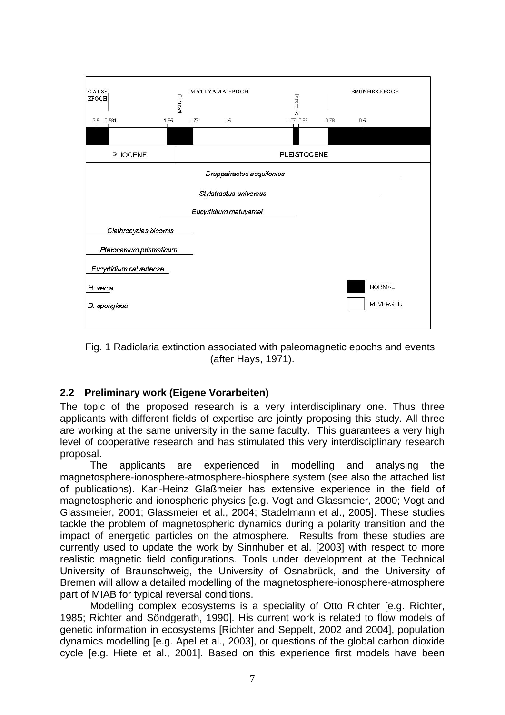

Fig. 1 Radiolaria extinction associated with paleomagnetic epochs and events (after Hays, 1971).

### **2.2 Preliminary work (Eigene Vorarbeiten)**

The topic of the proposed research is a very interdisciplinary one. Thus three applicants with different fields of expertise are jointly proposing this study. All three are working at the same university in the same faculty. This guarantees a very high level of cooperative research and has stimulated this very interdisciplinary research proposal.

The applicants are experienced in modelling and analysing the magnetosphere-ionosphere-atmosphere-biosphere system (see also the attached list of publications). Karl-Heinz Glaßmeier has extensive experience in the field of magnetospheric and ionospheric physics [e.g. Vogt and Glassmeier, 2000; Vogt and Glassmeier, 2001; Glassmeier et al., 2004; Stadelmann et al., 2005]. These studies tackle the problem of magnetospheric dynamics during a polarity transition and the impact of energetic particles on the atmosphere. Results from these studies are currently used to update the work by Sinnhuber et al. [2003] with respect to more realistic magnetic field configurations. Tools under development at the Technical University of Braunschweig, the University of Osnabrück, and the University of Bremen will allow a detailed modelling of the magnetosphere-ionosphere-atmosphere part of MIAB for typical reversal conditions.

Modelling complex ecosystems is a speciality of Otto Richter [e.g. Richter, 1985; Richter and Söndgerath, 1990]. His current work is related to flow models of genetic information in ecosystems [Richter and Seppelt, 2002 and 2004], population dynamics modelling [e.g. Apel et al., 2003], or questions of the global carbon dioxide cycle [e.g. Hiete et al., 2001]. Based on this experience first models have been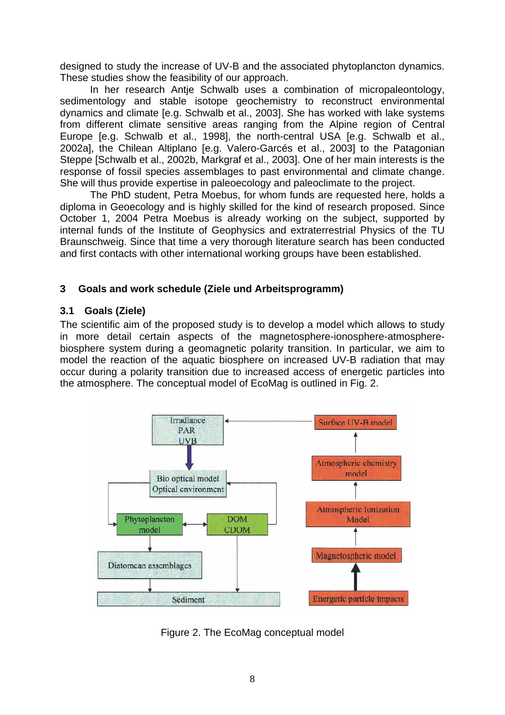designed to study the increase of UV-B and the associated phytoplancton dynamics. These studies show the feasibility of our approach.

In her research Antje Schwalb uses a combination of micropaleontology, sedimentology and stable isotope geochemistry to reconstruct environmental dynamics and climate [e.g. Schwalb et al., 2003]. She has worked with lake systems from different climate sensitive areas ranging from the Alpine region of Central Europe [e.g. Schwalb et al., 1998], the north-central USA [e.g. Schwalb et al., 2002a], the Chilean Altiplano [e.g. Valero-Garcés et al., 2003] to the Patagonian Steppe [Schwalb et al., 2002b, Markgraf et al., 2003]. One of her main interests is the response of fossil species assemblages to past environmental and climate change. She will thus provide expertise in paleoecology and paleoclimate to the project.

The PhD student, Petra Moebus, for whom funds are requested here, holds a diploma in Geoecology and is highly skilled for the kind of research proposed. Since October 1, 2004 Petra Moebus is already working on the subject, supported by internal funds of the Institute of Geophysics and extraterrestrial Physics of the TU Braunschweig. Since that time a very thorough literature search has been conducted and first contacts with other international working groups have been established.

### **3 Goals and work schedule (Ziele und Arbeitsprogramm)**

#### **3.1 Goals (Ziele)**

The scientific aim of the proposed study is to develop a model which allows to study in more detail certain aspects of the magnetosphere-ionosphere-atmospherebiosphere system during a geomagnetic polarity transition. In particular, we aim to model the reaction of the aquatic biosphere on increased UV-B radiation that may occur during a polarity transition due to increased access of energetic particles into the atmosphere. The conceptual model of EcoMag is outlined in Fig. 2.



Figure 2. The EcoMag conceptual model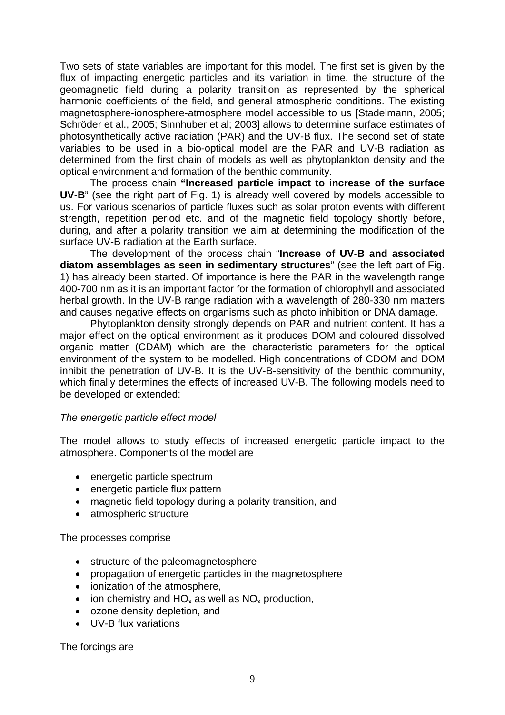Two sets of state variables are important for this model. The first set is given by the flux of impacting energetic particles and its variation in time, the structure of the geomagnetic field during a polarity transition as represented by the spherical harmonic coefficients of the field, and general atmospheric conditions. The existing magnetosphere-ionosphere-atmosphere model accessible to us [Stadelmann, 2005; Schröder et al., 2005; Sinnhuber et al; 2003] allows to determine surface estimates of photosynthetically active radiation (PAR) and the UV-B flux. The second set of state variables to be used in a bio-optical model are the PAR and UV-B radiation as determined from the first chain of models as well as phytoplankton density and the optical environment and formation of the benthic community.

The process chain **"Increased particle impact to increase of the surface UV-B**" (see the right part of Fig. 1) is already well covered by models accessible to us. For various scenarios of particle fluxes such as solar proton events with different strength, repetition period etc. and of the magnetic field topology shortly before, during, and after a polarity transition we aim at determining the modification of the surface UV-B radiation at the Earth surface.

The development of the process chain "**Increase of UV-B and associated diatom assemblages as seen in sedimentary structures**" (see the left part of Fig. 1) has already been started. Of importance is here the PAR in the wavelength range 400-700 nm as it is an important factor for the formation of chlorophyll and associated herbal growth. In the UV-B range radiation with a wavelength of 280-330 nm matters and causes negative effects on organisms such as photo inhibition or DNA damage.

Phytoplankton density strongly depends on PAR and nutrient content. It has a major effect on the optical environment as it produces DOM and coloured dissolved organic matter (CDAM) which are the characteristic parameters for the optical environment of the system to be modelled. High concentrations of CDOM and DOM inhibit the penetration of UV-B. It is the UV-B-sensitivity of the benthic community, which finally determines the effects of increased UV-B. The following models need to be developed or extended:

#### *The energetic particle effect model*

The model allows to study effects of increased energetic particle impact to the atmosphere. Components of the model are

- energetic particle spectrum
- energetic particle flux pattern
- magnetic field topology during a polarity transition, and
- atmospheric structure

The processes comprise

- structure of the paleomagnetosphere
- propagation of energetic particles in the magnetosphere
- ionization of the atmosphere,
- ion chemistry and  $HO_x$  as well as  $NO_x$  production,
- ozone density depletion, and
- UV-B flux variations

The forcings are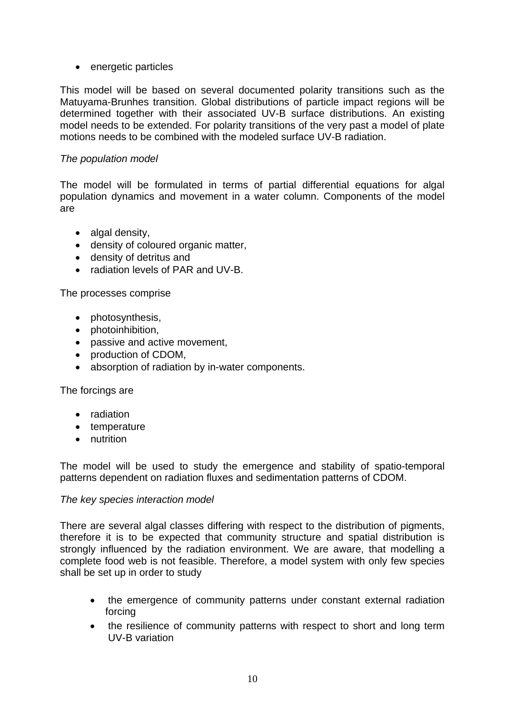• energetic particles

This model will be based on several documented polarity transitions such as the Matuyama-Brunhes transition. Global distributions of particle impact regions will be determined together with their associated UV-B surface distributions. An existing model needs to be extended. For polarity transitions of the very past a model of plate motions needs to be combined with the modeled surface UV-B radiation.

#### *The population model*

The model will be formulated in terms of partial differential equations for algal population dynamics and movement in a water column. Components of the model are

- algal density,
- density of coloured organic matter,
- density of detritus and
- radiation levels of PAR and UV-B.

The processes comprise

- photosynthesis,
- photoinhibition,
- passive and active movement,
- production of CDOM.
- absorption of radiation by in-water components.

The forcings are

- radiation
- temperature
- nutrition

The model will be used to study the emergence and stability of spatio-temporal patterns dependent on radiation fluxes and sedimentation patterns of CDOM.

#### *The key species interaction model*

There are several algal classes differing with respect to the distribution of pigments, therefore it is to be expected that community structure and spatial distribution is strongly influenced by the radiation environment. We are aware, that modelling a complete food web is not feasible. Therefore, a model system with only few species shall be set up in order to study

- the emergence of community patterns under constant external radiation forcing
- the resilience of community patterns with respect to short and long term UV-B variation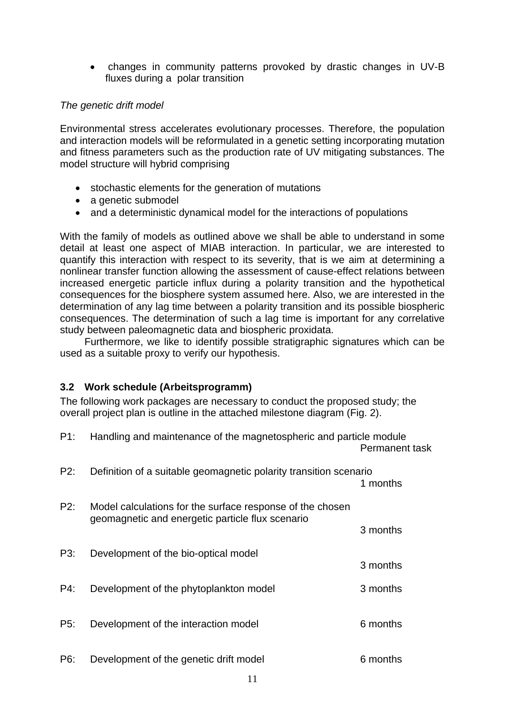• changes in community patterns provoked by drastic changes in UV-B fluxes during a polar transition

#### *The genetic drift model*

Environmental stress accelerates evolutionary processes. Therefore, the population and interaction models will be reformulated in a genetic setting incorporating mutation and fitness parameters such as the production rate of UV mitigating substances. The model structure will hybrid comprising

- stochastic elements for the generation of mutations
- a genetic submodel
- and a deterministic dynamical model for the interactions of populations

With the family of models as outlined above we shall be able to understand in some detail at least one aspect of MIAB interaction. In particular, we are interested to quantify this interaction with respect to its severity, that is we aim at determining a nonlinear transfer function allowing the assessment of cause-effect relations between increased energetic particle influx during a polarity transition and the hypothetical consequences for the biosphere system assumed here. Also, we are interested in the determination of any lag time between a polarity transition and its possible biospheric consequences. The determination of such a lag time is important for any correlative study between paleomagnetic data and biospheric proxidata.

Furthermore, we like to identify possible stratigraphic signatures which can be used as a suitable proxy to verify our hypothesis.

### **3.2 Work schedule (Arbeitsprogramm)**

The following work packages are necessary to conduct the proposed study; the overall project plan is outline in the attached milestone diagram (Fig. 2).

| P1: | Handling and maintenance of the magnetospheric and particle module                                            | Permanent task |
|-----|---------------------------------------------------------------------------------------------------------------|----------------|
| P2: | Definition of a suitable geomagnetic polarity transition scenario                                             | 1 months       |
| P2: | Model calculations for the surface response of the chosen<br>geomagnetic and energetic particle flux scenario |                |
| P3: | Development of the bio-optical model                                                                          | 3 months       |
|     |                                                                                                               | 3 months       |
| P4: | Development of the phytoplankton model                                                                        | 3 months       |
| P5: | Development of the interaction model                                                                          | 6 months       |
| P6: | Development of the genetic drift model                                                                        | 6 months       |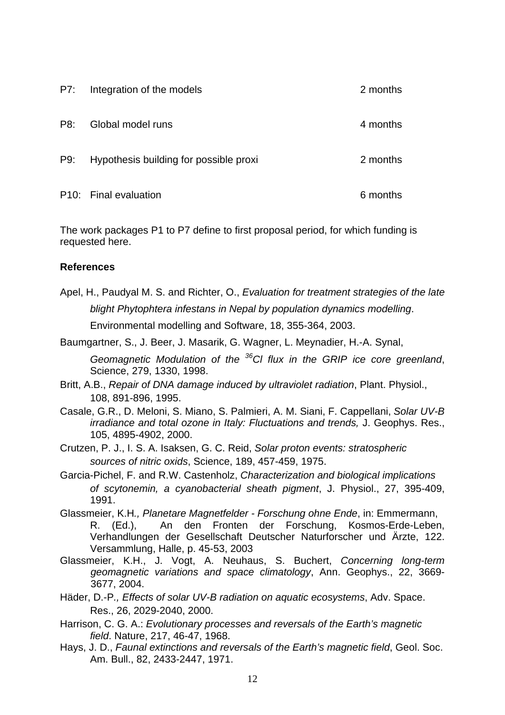| P7: | Integration of the models              | 2 months |
|-----|----------------------------------------|----------|
| P8: | Global model runs                      | 4 months |
| P9: | Hypothesis building for possible proxi | 2 months |
|     | P10: Final evaluation                  | 6 months |

The work packages P1 to P7 define to first proposal period, for which funding is requested here.

#### **References**

Apel, H., Paudyal M. S. and Richter, O., *Evaluation for treatment strategies of the late blight Phytophtera infestans in Nepal by population dynamics modelling*. Environmental modelling and Software, 18, 355-364, 2003.

Baumgartner, S., J. Beer, J. Masarik, G. Wagner, L. Meynadier, H.-A. Synal,

*Geomagnetic Modulation of the 36Cl flux in the GRIP ice core greenland*, Science, 279, 1330, 1998.

- Britt, A.B., *Repair of DNA damage induced by ultraviolet radiation*, Plant. Physiol., 108, 891-896, 1995.
- Casale, G.R., D. Meloni, S. Miano, S. Palmieri, A. M. Siani, F. Cappellani, *Solar UV-B irradiance and total ozone in Italy: Fluctuations and trends,* J. Geophys. Res., 105, 4895-4902, 2000.
- Crutzen, P. J., I. S. A. Isaksen, G. C. Reid, *Solar proton events: stratospheric sources of nitric oxids*, Science, 189, 457-459, 1975.
- Garcia-Pichel, F. and R.W. Castenholz, *Characterization and biological implications of scytonemin, a cyanobacterial sheath pigment*, J. Physiol., 27, 395-409, 1991.
- Glassmeier, K.H*., Planetare Magnetfelder Forschung ohne Ende*, in: Emmermann, R. (Ed.), An den Fronten der Forschung, Kosmos-Erde-Leben, Verhandlungen der Gesellschaft Deutscher Naturforscher und Ärzte, 122. Versammlung, Halle, p. 45-53, 2003
- Glassmeier, K.H., J. Vogt, A. Neuhaus, S. Buchert, *Concerning long-term geomagnetic variations and space climatology*, Ann. Geophys., 22, 3669- 3677, 2004.
- Häder, D.-P*., Effects of solar UV-B radiation on aquatic ecosystems*, Adv. Space. Res., 26, 2029-2040, 2000.
- Harrison, C. G. A.: *Evolutionary processes and reversals of the Earth's magnetic field*. Nature, 217, 46-47, 1968.
- Hays, J. D., *Faunal extinctions and reversals of the Earth's magnetic field*, Geol. Soc. Am. Bull., 82, 2433-2447, 1971.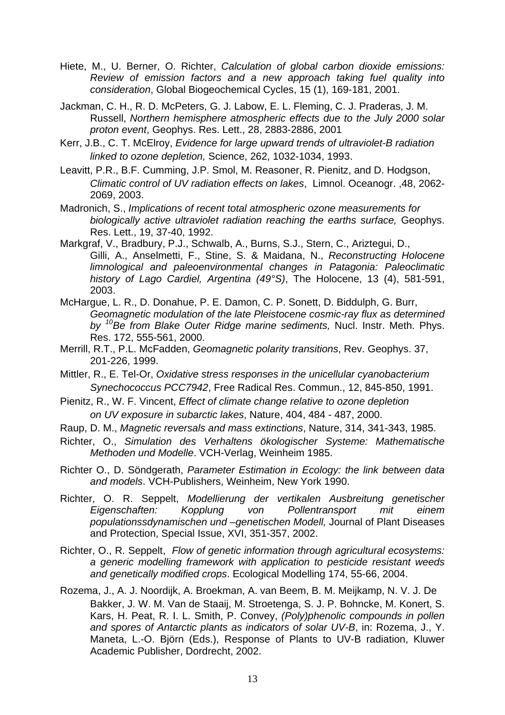- Hiete, M., U. Berner, O. Richter, *Calculation of global carbon dioxide emissions: Review of emission factors and a new approach taking fuel quality into consideration*, Global Biogeochemical Cycles, 15 (1), 169-181, 2001.
- Jackman, C. H., R. D. McPeters, G. J. Labow, E. L. Fleming, C. J. Praderas, J. M. Russell, *Northern hemisphere atmospheric effects due to the July 2000 solar proton event*, Geophys. Res. Lett., 28, 2883-2886, 2001
- Kerr, J.B., C. T. McElroy, *Evidence for large upward trends of ultraviolet-B radiation linked to ozone depletion,* Science, 262, 1032-1034, 1993.
- Leavitt, P.R., B.F. Cumming, J.P. Smol, M. Reasoner, R. Pienitz, and D. Hodgson, *Climatic control of UV radiation effects on lakes*, Limnol. Oceanogr. ,48, 2062- 2069, 2003.
- Madronich, S., *Implications of recent total atmospheric ozone measurements for biologically active ultraviolet radiation reaching the earths surface,* Geophys. Res. Lett., 19, 37-40, 1992.
- Markgraf, V., Bradbury, P.J., Schwalb, A., Burns, S.J., Stern, C., Ariztegui, D., Gilli, A., Anselmetti, F., Stine, S. & Maidana, N., *Reconstructing Holocene limnological and paleoenvironmental changes in Patagonia: Paleoclimatic history of Lago Cardiel, Argentina (49°S)*, The Holocene, 13 (4), 581-591, 2003.
- McHargue, L. R., D. Donahue, P. E. Damon, C. P. Sonett, D. Biddulph, G. Burr, *Geomagnetic modulation of the late Pleistocene cosmic-ray flux as determined by 10Be from Blake Outer Ridge marine sediments,* Nucl. Instr. Meth. Phys. Res. 172, 555-561, 2000.
- Merrill, R.T., P.L. McFadden, *Geomagnetic polarity transitions*, Rev. Geophys. 37, 201-226, 1999.
- Mittler, R., E. Tel-Or, *Oxidative stress responses in the unicellular cyanobacterium Synechococcus PCC7942*, Free Radical Res. Commun., 12, 845-850, 1991.
- Pienitz, R., W. F. Vincent, *Effect of climate change relative to ozone depletion on UV exposure in subarctic lakes*, Nature, 404, 484 - 487, 2000.
- Raup, D. M., *Magnetic reversals and mass extinctions*, Nature, 314, 341-343, 1985.
- Richter, O., *Simulation des Verhaltens ökologischer Systeme: Mathematische Methoden und Modelle*. VCH-Verlag, Weinheim 1985.
- Richter O., D. Söndgerath, *Parameter Estimation in Ecology: the link between data and models*. VCH-Publishers, Weinheim, New York 1990.
- Richter, O. R. Seppelt, *Modellierung der vertikalen Ausbreitung genetischer Eigenschaften: Kopplung von Pollentransport mit einem populationssdynamischen und –genetischen Modell,* Journal of Plant Diseases and Protection, Special Issue, XVI, 351-357, 2002.
- Richter, O., R. Seppelt, *Flow of genetic information through agricultural ecosystems: a generic modelling framework with application to pesticide resistant weeds and genetically modified crops*. Ecological Modelling 174, 55-66, 2004.
- Rozema, J., A. J. Noordijk, A. Broekman, A. van Beem, B. M. Meijkamp, N. V. J. De Bakker, J. W. M. Van de Staaij, M. Stroetenga, S. J. P. Bohncke, M. Konert, S. Kars, H. Peat, R. I. L. Smith, P. Convey, *(Poly)phenolic compounds in pollen and spores of Antarctic plants as indicators of solar UV-B*, in: Rozema, J., Y. Maneta, L.-O. Björn (Eds.), Response of Plants to UV-B radiation, Kluwer Academic Publisher, Dordrecht, 2002.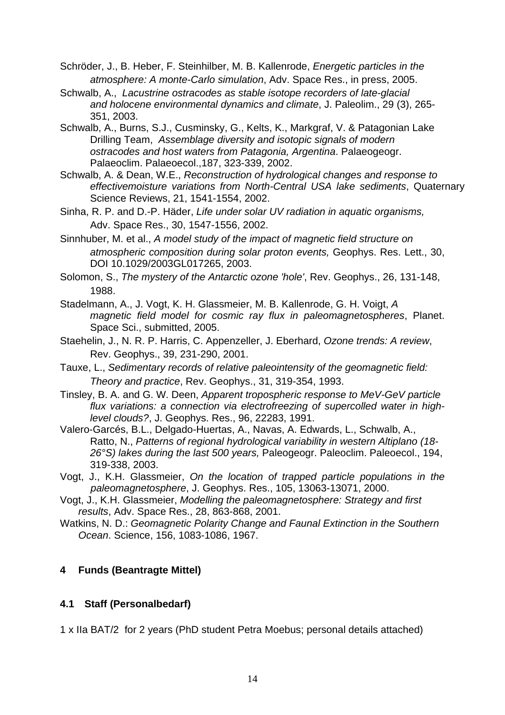Schröder, J., B. Heber, F. Steinhilber, M. B. Kallenrode, *Energetic particles in the atmosphere: A monte-Carlo simulation*, Adv. Space Res., in press, 2005.

- Schwalb, A., *Lacustrine ostracodes as stable isotope recorders of late-glacial and holocene environmental dynamics and climate*, J. Paleolim., 29 (3), 265- 351, 2003.
- Schwalb, A., Burns, S.J., Cusminsky, G., Kelts, K., Markgraf, V. & Patagonian Lake Drilling Team, *Assemblage diversity and isotopic signals of modern ostracodes and host waters from Patagonia, Argentina*. Palaeogeogr. Palaeoclim. Palaeoecol.,187, 323-339, 2002.
- Schwalb, A. & Dean, W.E., *Reconstruction of hydrological changes and response to effectivemoisture variations from North-Central USA lake sediments*, Quaternary Science Reviews, 21, 1541-1554, 2002.
- Sinha, R. P. and D.-P. Häder, *Life under solar UV radiation in aquatic organisms,*  Adv. Space Res., 30, 1547-1556, 2002.
- Sinnhuber, M. et al., *A model study of the impact of magnetic field structure on atmospheric composition during solar proton events,* Geophys. Res. Lett., 30, DOI 10.1029/2003GL017265, 2003.

Solomon, S., *The mystery of the Antarctic ozone 'hole'*, Rev. Geophys., 26, 131-148, 1988.

- Stadelmann, A., J. Vogt, K. H. Glassmeier, M. B. Kallenrode, G. H. Voigt, *A magnetic field model for cosmic ray flux in paleomagnetospheres*, Planet. Space Sci., submitted, 2005.
- Staehelin, J., N. R. P. Harris, C. Appenzeller, J. Eberhard, *Ozone trends: A review*, Rev. Geophys., 39, 231-290, 2001.
- Tauxe, L., *Sedimentary records of relative paleointensity of the geomagnetic field: Theory and practice*, Rev. Geophys., 31, 319-354, 1993.
- Tinsley, B. A. and G. W. Deen, *Apparent tropospheric response to MeV-GeV particle flux variations: a connection via electrofreezing of supercolled water in highlevel clouds?*, J. Geophys. Res., 96, 22283, 1991.
- Valero-Garcés, B.L., Delgado-Huertas, A., Navas, A. Edwards, L., Schwalb, A., Ratto, N., *Patterns of regional hydrological variability in western Altiplano (18- 26°S) lakes during the last 500 years,* Paleogeogr. Paleoclim. Paleoecol., 194, 319-338, 2003.
- Vogt, J., K.H. Glassmeier, *On the location of trapped particle populations in the paleomagnetosphere*, J. Geophys. Res., 105, 13063-13071, 2000.
- Vogt, J., K.H. Glassmeier, *Modelling the paleomagnetosphere: Strategy and first results*, Adv. Space Res., 28, 863-868, 2001.
- Watkins, N. D.: *Geomagnetic Polarity Change and Faunal Extinction in the Southern Ocean*. Science, 156, 1083-1086, 1967.

### **4 Funds (Beantragte Mittel)**

### **4.1 Staff (Personalbedarf)**

1 x IIa BAT/2 for 2 years (PhD student Petra Moebus; personal details attached)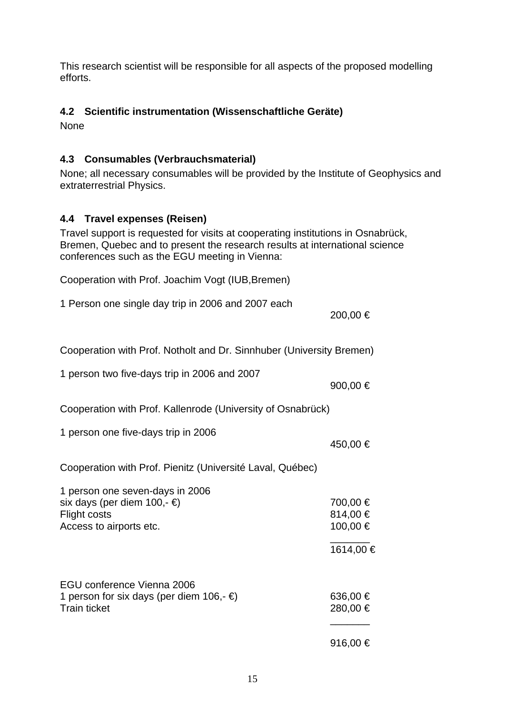This research scientist will be responsible for all aspects of the proposed modelling efforts.

### **4.2 Scientific instrumentation (Wissenschaftliche Geräte)**

None

## **4.3 Consumables (Verbrauchsmaterial)**

None; all necessary consumables will be provided by the Institute of Geophysics and extraterrestrial Physics.

## **4.4 Travel expenses (Reisen)**

Travel support is requested for visits at cooperating institutions in Osnabrück, Bremen, Quebec and to present the research results at international science conferences such as the EGU meeting in Vienna:

Cooperation with Prof. Joachim Vogt (IUB,Bremen)

1 Person one single day trip in 2006 and 2007 each 200,00 € Cooperation with Prof. Notholt and Dr. Sinnhuber (University Bremen) 1 person two five-days trip in 2006 and 2007 900,00 € Cooperation with Prof. Kallenrode (University of Osnabrück) 1 person one five-days trip in 2006 450,00 € Cooperation with Prof. Pienitz (Université Laval, Québec) 1 person one seven-days in 2006 six days (per diem 100,-  $\epsilon$ ) 700,00  $\epsilon$ Flight costs 814,00  $\in$ Access to airports etc.  $100,00 \in$  \_\_\_\_\_\_\_ 1614,00 € EGU conference Vienna 2006 1 person for six days (per diem 106,-  $∈$ ) 636,00  $∈$ Train ticket 280,00  $\in$ \_\_\_\_\_\_\_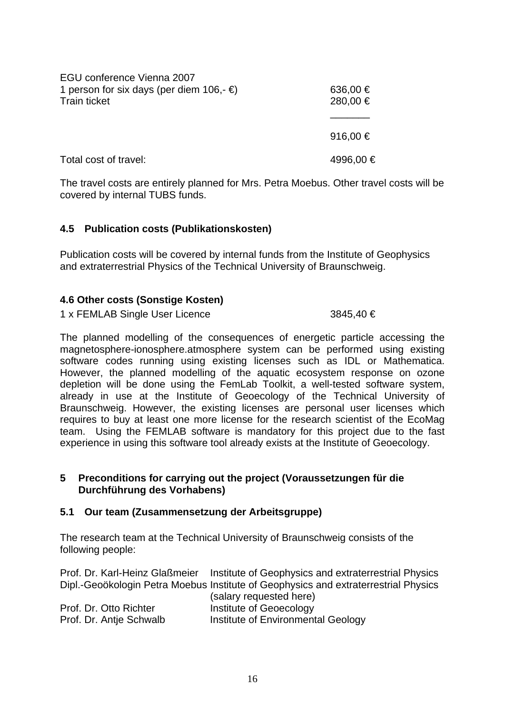| EGU conference Vienna 2007                    |              |
|-----------------------------------------------|--------------|
| 1 person for six days (per diem 106,- $\in$ ) | 636,00 €     |
| <b>Train ticket</b>                           | 280,00 €     |
|                                               |              |
|                                               | 916,00 $\in$ |
| Total cost of travel:                         | 4996,00 €    |

The travel costs are entirely planned for Mrs. Petra Moebus. Other travel costs will be covered by internal TUBS funds.

### **4.5 Publication costs (Publikationskosten)**

Publication costs will be covered by internal funds from the Institute of Geophysics and extraterrestrial Physics of the Technical University of Braunschweig.

### **4.6 Other costs (Sonstige Kosten)**

1 x FEMLAB Single User Licence 3845,40 €

The planned modelling of the consequences of energetic particle accessing the magnetosphere-ionosphere.atmosphere system can be performed using existing software codes running using existing licenses such as IDL or Mathematica. However, the planned modelling of the aquatic ecosystem response on ozone depletion will be done using the FemLab Toolkit, a well-tested software system, already in use at the Institute of Geoecology of the Technical University of Braunschweig. However, the existing licenses are personal user licenses which requires to buy at least one more license for the research scientist of the EcoMag team. Using the FEMLAB software is mandatory for this project due to the fast experience in using this software tool already exists at the Institute of Geoecology.

#### **5 Preconditions for carrying out the project (Voraussetzungen für die Durchführung des Vorhabens)**

#### **5.1 Our team (Zusammensetzung der Arbeitsgruppe)**

The research team at the Technical University of Braunschweig consists of the following people:

| Prof. Dr. Karl-Heinz Glaßmeier | Institute of Geophysics and extraterrestrial Physics                                |
|--------------------------------|-------------------------------------------------------------------------------------|
|                                | Dipl.-Geoökologin Petra Moebus Institute of Geophysics and extraterrestrial Physics |
|                                | (salary requested here)                                                             |
| Prof. Dr. Otto Richter         | Institute of Geoecology                                                             |
| Prof. Dr. Antie Schwalb        | Institute of Environmental Geology                                                  |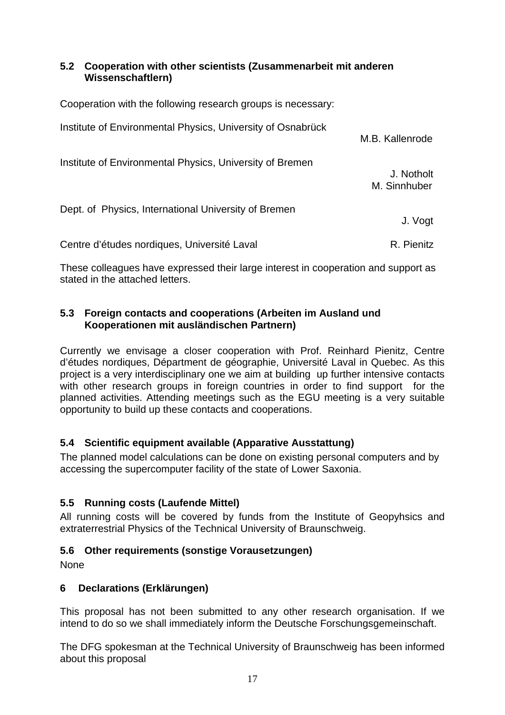### **5.2 Cooperation with other scientists (Zusammenarbeit mit anderen Wissenschaftlern)**

| Cooperation with the following research groups is necessary: |                            |
|--------------------------------------------------------------|----------------------------|
| Institute of Environmental Physics, University of Osnabrück  | M.B. Kallenrode            |
| Institute of Environmental Physics, University of Bremen     | J. Notholt<br>M. Sinnhuber |
| Dept. of Physics, International University of Bremen         | J. Vogt                    |
| Centre d'études nordiques, Université Laval                  | R. Pienitz                 |

These colleagues have expressed their large interest in cooperation and support as stated in the attached letters.

### **5.3 Foreign contacts and cooperations (Arbeiten im Ausland und Kooperationen mit ausländischen Partnern)**

Currently we envisage a closer cooperation with Prof. Reinhard Pienitz, Centre d'études nordiques, Départment de géographie, Université Laval in Quebec. As this project is a very interdisciplinary one we aim at building up further intensive contacts with other research groups in foreign countries in order to find support for the planned activities. Attending meetings such as the EGU meeting is a very suitable opportunity to build up these contacts and cooperations.

## **5.4 Scientific equipment available (Apparative Ausstattung)**

The planned model calculations can be done on existing personal computers and by accessing the supercomputer facility of the state of Lower Saxonia.

## **5.5 Running costs (Laufende Mittel)**

All running costs will be covered by funds from the Institute of Geopyhsics and extraterrestrial Physics of the Technical University of Braunschweig.

## **5.6 Other requirements (sonstige Vorausetzungen)**

None

## **6 Declarations (Erklärungen)**

This proposal has not been submitted to any other research organisation. If we intend to do so we shall immediately inform the Deutsche Forschungsgemeinschaft.

The DFG spokesman at the Technical University of Braunschweig has been informed about this proposal